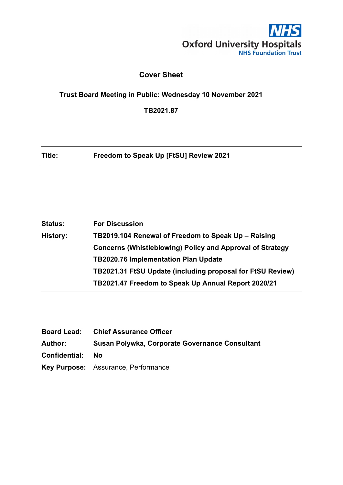

## **Cover Sheet**

**Trust Board Meeting in Public: Wednesday 10 November 2021**

**TB2021.87**

**Title: Freedom to Speak Up [FtSU] Review 2021**

| <b>Status:</b> | <b>For Discussion</b>                                            |
|----------------|------------------------------------------------------------------|
| History:       | TB2019.104 Renewal of Freedom to Speak Up - Raising              |
|                | <b>Concerns (Whistleblowing) Policy and Approval of Strategy</b> |
|                | <b>TB2020.76 Implementation Plan Update</b>                      |
|                | TB2021.31 FtSU Update (including proposal for FtSU Review)       |
|                | TB2021.47 Freedom to Speak Up Annual Report 2020/21              |

|                         | <b>Board Lead: Chief Assurance Officer</b>     |
|-------------------------|------------------------------------------------|
| Author:                 | Susan Polywka, Corporate Governance Consultant |
| <b>Confidential: No</b> |                                                |
|                         | Key Purpose: Assurance, Performance            |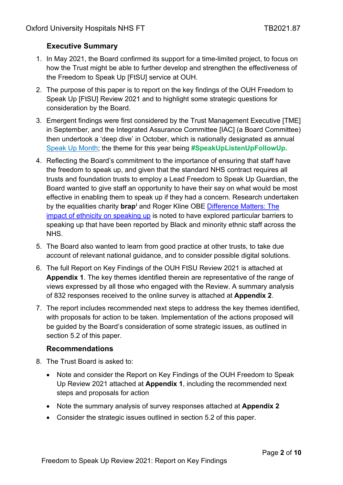# **Executive Summary**

- 1. In May 2021, the Board confirmed its support for a time-limited project, to focus on how the Trust might be able to further develop and strengthen the effectiveness of the Freedom to Speak Up [FtSU] service at OUH.
- 2. The purpose of this paper is to report on the key findings of the OUH Freedom to Speak Up [FtSU] Review 2021 and to highlight some strategic questions for consideration by the Board.
- 3. Emergent findings were first considered by the Trust Management Executive [TME] in September, and the Integrated Assurance Committee [IAC] (a Board Committee) then undertook a 'deep dive' in October, which is nationally designated as annual [Speak Up Month;](https://nationalguardian.org.uk/2021/09/30/speak-up-month-2021/) the theme for this year being **#SpeakUpListenUpFollowUp.**
- 4. Reflecting the Board's commitment to the importance of ensuring that staff have the freedom to speak up, and given that the standard NHS contract requires all trusts and foundation trusts to employ a Lead Freedom to Speak Up Guardian, the Board wanted to give staff an opportunity to have their say on what would be most effective in enabling them to speak up if they had a concern. Research undertaken by the equalities charity **brap[i](#page-9-0)** and Roger Kline OBE [Difference Matters: The](https://nationalguardian.org.uk/wp-content/uploads/2021/09/Difference_Matters_Press_Release.pdf)  [impact of ethnicity on speaking up](https://nationalguardian.org.uk/wp-content/uploads/2021/09/Difference_Matters_Press_Release.pdf) is noted to have explored particular barriers to speaking up that have been reported by Black and minority ethnic staff across the NHS.
- 5. The Board also wanted to learn from good practice at other trusts, to take due account of relevant national guidance, and to consider possible digital solutions.
- 6. The full Report on Key Findings of the OUH FtSU Review 2021 is attached at **Appendix 1**. The key themes identified therein are representative of the range of views expressed by all those who engaged with the Review. A summary analysis of 832 responses received to the online survey is attached at **Appendix 2**.
- 7. The report includes recommended next steps to address the key themes identified, with proposals for action to be taken. Implementation of the actions proposed will be guided by the Board's consideration of some strategic issues, as outlined in section 5.2 of this paper.

## **Recommendations**

- 8. The Trust Board is asked to:
	- Note and consider the Report on Key Findings of the OUH Freedom to Speak Up Review 2021 attached at **Appendix 1**, including the recommended next steps and proposals for action
	- Note the summary analysis of survey responses attached at **Appendix 2**
	- Consider the strategic issues outlined in section 5.2 of this paper.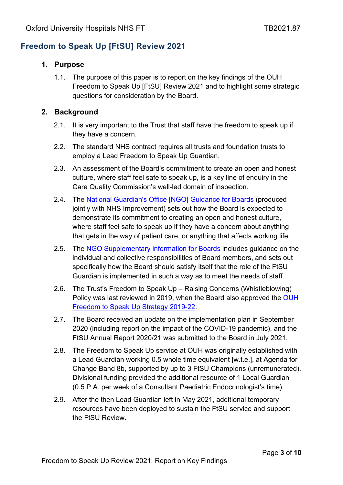# **Freedom to Speak Up [FtSU] Review 2021**

#### **1. Purpose**

1.1. The purpose of this paper is to report on the key findings of the OUH Freedom to Speak Up [FtSU] Review 2021 and to highlight some strategic questions for consideration by the Board.

### **2. Background**

- 2.1. It is very important to the Trust that staff have the freedom to speak up if they have a concern.
- 2.2. The standard NHS contract requires all trusts and foundation trusts to employ a Lead Freedom to Speak Up Guardian.
- 2.3. An assessment of the Board's commitment to create an open and honest culture, where staff feel safe to speak up, is a key line of enquiry in the Care Quality Commission's well-led domain of inspection.
- 2.4. The [National Guardian's Office \[NGO\] Guidance for Boards](file://oxnethome02.oxnet.nhs.uk/users$/Susan.Polywka/Documents/FTSU/National%20Gardian%20ftsu-guidance-for-boards.pdf) (produced jointly with NHS Improvement) sets out how the Board is expected to demonstrate its commitment to creating an open and honest culture, where staff feel safe to speak up if they have a concern about anything that gets in the way of patient care, or anything that affects working life.
- 2.5. The [NGO Supplementary information for Boards](file://oxnethome02.oxnet.nhs.uk/users$/Susan.Polywka/Documents/FTSU/NGO-Supplementary-information%20for%20Boards.pdf) includes guidance on the individual and collective responsibilities of Board members, and sets out specifically how the Board should satisfy itself that the role of the FtSU Guardian is implemented in such a way as to meet the needs of staff.
- 2.6. The Trust's Freedom to Speak Up Raising Concerns (Whistleblowing) Policy was last reviewed in 2019, when the Board also approved the OUH [Freedom to Speak Up Strategy 2019-22.](https://www.ouh.nhs.uk/working-for-us/staff/documents/ftsu-strategy-2019-22.pdf)
- 2.7. The Board received an update on the implementation plan in September 2020 (including report on the impact of the COVID-19 pandemic), and the FtSU Annual Report 2020/21 was submitted to the Board in July 2021.
- 2.8. The Freedom to Speak Up service at OUH was originally established with a Lead Guardian working 0.5 whole time equivalent [w.t.e.], at Agenda for Change Band 8b, supported by up to 3 FtSU Champions (unremunerated). Divisional funding provided the additional resource of 1 Local Guardian (0.5 P.A. per week of a Consultant Paediatric Endocrinologist's time).
- 2.9. After the then Lead Guardian left in May 2021, additional temporary resources have been deployed to sustain the FtSU service and support the FtSU Review.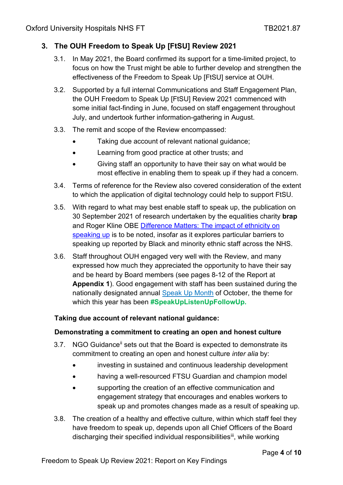## **3. The OUH Freedom to Speak Up [FtSU] Review 2021**

- 3.1. In May 2021, the Board confirmed its support for a time-limited project, to focus on how the Trust might be able to further develop and strengthen the effectiveness of the Freedom to Speak Up [FtSU] service at OUH.
- 3.2. Supported by a full internal Communications and Staff Engagement Plan, the OUH Freedom to Speak Up [FtSU] Review 2021 commenced with some initial fact-finding in June, focused on staff engagement throughout July, and undertook further information-gathering in August.
- 3.3. The remit and scope of the Review encompassed:
	- Taking due account of relevant national guidance;
	- Learning from good practice at other trusts; and
	- Giving staff an opportunity to have their say on what would be most effective in enabling them to speak up if they had a concern.
- 3.4. Terms of reference for the Review also covered consideration of the extent to which the application of digital technology could help to support FtSU.
- 3.5. With regard to what may best enable staff to speak up, the publication on 30 September 2021 of research undertaken by the equalities charity **brap**  and Roger Kline OBE [Difference Matters: The impact of ethnicity on](https://nationalguardian.org.uk/wp-content/uploads/2021/09/Difference_Matters_Press_Release.pdf)  [speaking up](https://nationalguardian.org.uk/wp-content/uploads/2021/09/Difference_Matters_Press_Release.pdf) is to be noted, insofar as it explores particular barriers to speaking up reported by Black and minority ethnic staff across the NHS.
- 3.6. Staff throughout OUH engaged very well with the Review, and many expressed how much they appreciated the opportunity to have their say and be heard by Board members (see pages 8-12 of the Report at **Appendix 1**). Good engagement with staff has been sustained during the nationally designated annual [Speak Up Month](https://nationalguardian.org.uk/2021/09/30/speak-up-month-2021/) of October, the theme for which this year has been **#SpeakUpListenUpFollowUp.**

#### **Taking due account of relevant national guidance:**

#### **Demonstrating a commitment to creating an open and honest culture**

- 3.7. NGO Guidance<sup>[ii](#page-9-1)</sup> sets out that the Board is expected to demonstrate its commitment to creating an open and honest culture *inter alia* by:
	- investing in sustained and continuous leadership development
	- having a well-resourced FTSU Guardian and champion model
	- supporting the creation of an effective communication and engagement strategy that encourages and enables workers to speak up and promotes changes made as a result of speaking up.
- 3.8. The creation of a healthy and effective culture, within which staff feel they have freedom to speak up, depends upon all Chief Officers of the Board discharging their specified individual responsibilities<sup>[iii](#page-9-2)</sup>, while working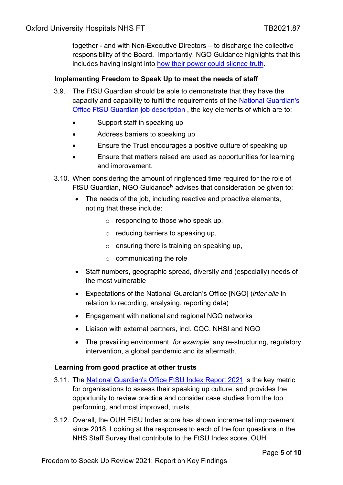together - and with Non-Executive Directors – to discharge the collective responsibility of the Board. Importantly, NGO Guidance highlights that this includes having insight into [how their power could silence truth.](https://www.youtube.com/watch?v=Sq475Us1KXg)

#### **Implementing Freedom to Speak Up to meet the needs of staff**

- 3.9. The FtSU Guardian should be able to demonstrate that they have the capacity and capability to fulfil the requirements of the [National Guardian's](https://nationalguardian.org.uk/for-guardians/job-description/)  [Office FtSU Guardian job description](https://nationalguardian.org.uk/for-guardians/job-description/) , the key elements of which are to:
	- Support staff in speaking up
	- Address barriers to speaking up
	- Ensure the Trust encourages a positive culture of speaking up
	- Ensure that matters raised are used as opportunities for learning and improvement.
- 3.10. When considering the amount of ringfenced time required for the role of FtSU Guardian, NGO Guidance<sup>[iv](#page-9-3)</sup> advises that consideration be given to:
	- The needs of the job, including reactive and proactive elements, noting that these include:
		- $\circ$  responding to those who speak up,
		- $\circ$  reducing barriers to speaking up,
		- $\circ$  ensuring there is training on speaking up,
		- $\circ$  communicating the role
	- Staff numbers, geographic spread, diversity and (especially) needs of the most vulnerable
	- Expectations of the National Guardian's Office [NGO] (*inter alia* in relation to recording, analysing, reporting data)
	- Engagement with national and regional NGO networks
	- Liaison with external partners, incl. CQC, NHSI and NGO
	- The prevailing environment, *for example.* any re-structuring, regulatory intervention, a global pandemic and its aftermath.

#### **Learning from good practice at other trusts**

- 3.11. The [National Guardian's Office FtSU Index Report 2021](https://nationalguardian.org.uk/wp-content/uploads/2021/05/FTSU-Index-Report-2021.pdf) is the key metric for organisations to assess their speaking up culture, and provides the opportunity to review practice and consider case studies from the top performing, and most improved, trusts.
- 3.12. Overall, the OUH FtSU Index score has shown incremental improvement since 2018. Looking at the responses to each of the four questions in the NHS Staff Survey that contribute to the FtSU Index score, OUH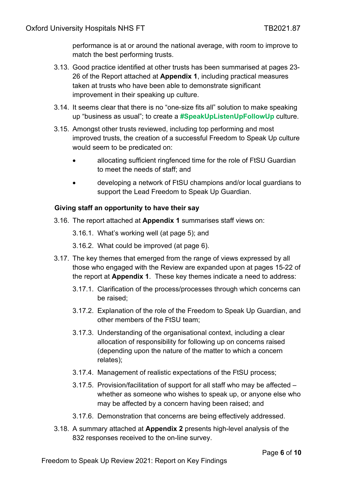performance is at or around the national average, with room to improve to match the best performing trusts.

- 3.13. Good practice identified at other trusts has been summarised at pages 23- 26 of the Report attached at **Appendix 1**, including practical measures taken at trusts who have been able to demonstrate significant improvement in their speaking up culture.
- 3.14. It seems clear that there is no "one-size fits all" solution to make speaking up "business as usual"; to create a **#SpeakUpListenUpFollowUp** culture.
- 3.15. Amongst other trusts reviewed, including top performing and most improved trusts, the creation of a successful Freedom to Speak Up culture would seem to be predicated on:
	- allocating sufficient ringfenced time for the role of FtSU Guardian to meet the needs of staff; and
	- developing a network of FtSU champions and/or local guardians to support the Lead Freedom to Speak Up Guardian.

## **Giving staff an opportunity to have their say**

- 3.16. The report attached at **Appendix 1** summarises staff views on:
	- 3.16.1. What's working well (at page 5); and
	- 3.16.2. What could be improved (at page 6).
- 3.17. The key themes that emerged from the range of views expressed by all those who engaged with the Review are expanded upon at pages 15-22 of the report at **Appendix 1**. These key themes indicate a need to address:
	- 3.17.1. Clarification of the process/processes through which concerns can be raised;
	- 3.17.2. Explanation of the role of the Freedom to Speak Up Guardian, and other members of the FtSU team;
	- 3.17.3. Understanding of the organisational context, including a clear allocation of responsibility for following up on concerns raised (depending upon the nature of the matter to which a concern relates);
	- 3.17.4. Management of realistic expectations of the FtSU process;
	- 3.17.5. Provision/facilitation of support for all staff who may be affected whether as someone who wishes to speak up, or anyone else who may be affected by a concern having been raised; and
	- 3.17.6. Demonstration that concerns are being effectively addressed.
- 3.18. A summary attached at **Appendix 2** presents high-level analysis of the 832 responses received to the on-line survey.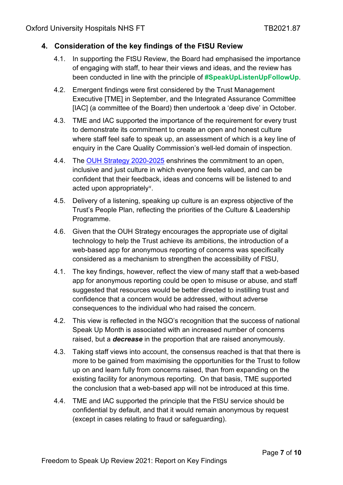## **4. Consideration of the key findings of the FtSU Review**

- 4.1. In supporting the FtSU Review, the Board had emphasised the importance of engaging with staff, to hear their views and ideas, and the review has been conducted in line with the principle of **#SpeakUpListenUpFollowUp**.
- 4.2. Emergent findings were first considered by the Trust Management Executive [TME] in September, and the Integrated Assurance Committee [IAC] (a committee of the Board) then undertook a 'deep dive' in October.
- 4.3. TME and IAC supported the importance of the requirement for every trust to demonstrate its commitment to create an open and honest culture where staff feel safe to speak up, an assessment of which is a key line of enquiry in the Care Quality Commission's well-led domain of inspection.
- 4.4. The [OUH Strategy 2020-2025](https://www.ouh.nhs.uk/about/strategy/documents/ouh-strategy-2020.pdf) enshrines the commitment to an open, inclusive and just culture in which everyone feels valued, and can be confident that their feedback, ideas and concerns will be listened to and acted upon appropriately<sup>v</sup>.
- 4.5. Delivery of a listening, speaking up culture is an express objective of the Trust's People Plan, reflecting the priorities of the Culture & Leadership Programme.
- 4.6. Given that the OUH Strategy encourages the appropriate use of digital technology to help the Trust achieve its ambitions, the introduction of a web-based app for anonymous reporting of concerns was specifically considered as a mechanism to strengthen the accessibility of FtSU,
- 4.1. The key findings, however, reflect the view of many staff that a web-based app for anonymous reporting could be open to misuse or abuse, and staff suggested that resources would be better directed to instilling trust and confidence that a concern would be addressed, without adverse consequences to the individual who had raised the concern.
- 4.2. This view is reflected in the NGO's recognition that the success of national Speak Up Month is associated with an increased number of concerns raised, but a *decrease* in the proportion that are raised anonymously.
- 4.3. Taking staff views into account, the consensus reached is that that there is more to be gained from maximising the opportunities for the Trust to follow up on and learn fully from concerns raised, than from expanding on the existing facility for anonymous reporting. On that basis, TME supported the conclusion that a web-based app will not be introduced at this time.
- 4.4. TME and IAC supported the principle that the FtSU service should be confidential by default, and that it would remain anonymous by request (except in cases relating to fraud or safeguarding).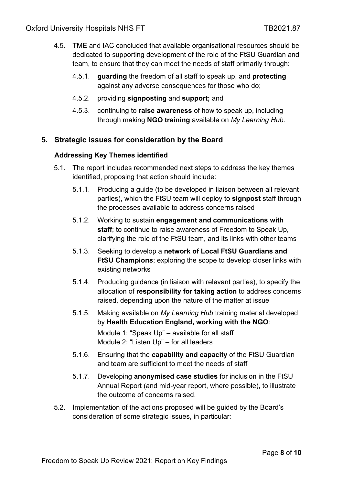- 4.5. TME and IAC concluded that available organisational resources should be dedicated to supporting development of the role of the FtSU Guardian and team, to ensure that they can meet the needs of staff primarily through:
	- 4.5.1. **guarding** the freedom of all staff to speak up, and **protecting**  against any adverse consequences for those who do;
	- 4.5.2. providing **signposting** and **support;** and
	- 4.5.3. continuing to **raise awareness** of how to speak up, including through making **NGO training** available on *My Learning Hub*.

## **5. Strategic issues for consideration by the Board**

### **Addressing Key Themes identified**

- 5.1. The report includes recommended next steps to address the key themes identified, proposing that action should include:
	- 5.1.1. Producing a guide (to be developed in liaison between all relevant parties), which the FtSU team will deploy to **signpost** staff through the processes available to address concerns raised
	- 5.1.2. Working to sustain **engagement and communications with staff**; to continue to raise awareness of Freedom to Speak Up, clarifying the role of the FtSU team, and its links with other teams
	- 5.1.3. Seeking to develop a **network of Local FtSU Guardians and FtSU Champions**; exploring the scope to develop closer links with existing networks
	- 5.1.4. Producing guidance (in liaison with relevant parties), to specify the allocation of **responsibility for taking action** to address concerns raised, depending upon the nature of the matter at issue
	- 5.1.5. Making available on *My Learning Hub* training material developed by **Health Education England, working with the NGO**: Module 1: "Speak Up" – available for all staff Module 2: "Listen Up" – for all leaders
	- 5.1.6. Ensuring that the **capability and capacity** of the FtSU Guardian and team are sufficient to meet the needs of staff
	- 5.1.7. Developing **anonymised case studies** for inclusion in the FtSU Annual Report (and mid-year report, where possible), to illustrate the outcome of concerns raised.
- 5.2. Implementation of the actions proposed will be guided by the Board's consideration of some strategic issues, in particular: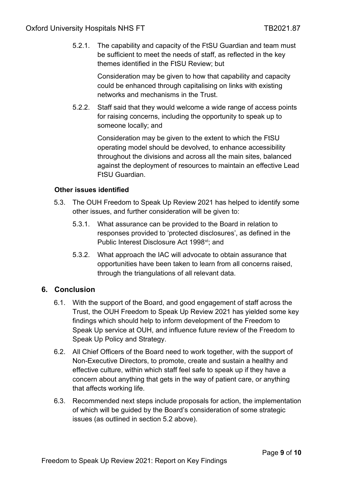5.2.1. The capability and capacity of the FtSU Guardian and team must be sufficient to meet the needs of staff, as reflected in the key themes identified in the FtSU Review; but

> Consideration may be given to how that capability and capacity could be enhanced through capitalising on links with existing networks and mechanisms in the Trust.

5.2.2. Staff said that they would welcome a wide range of access points for raising concerns, including the opportunity to speak up to someone locally; and

> Consideration may be given to the extent to which the FtSU operating model should be devolved, to enhance accessibility throughout the divisions and across all the main sites, balanced against the deployment of resources to maintain an effective Lead FtSU Guardian.

### **Other issues identified**

- 5.3. The OUH Freedom to Speak Up Review 2021 has helped to identify some other issues, and further consideration will be given to:
	- 5.3.1. What assurance can be provided to the Board in relation to responses provided to 'protected disclosures', as defined in the Public Interest Disclosure Act 1998<sup>vi</sup>; and
	- 5.3.2. What approach the IAC will advocate to obtain assurance that opportunities have been taken to learn from all concerns raised, through the triangulations of all relevant data.

## **6. Conclusion**

- 6.1. With the support of the Board, and good engagement of staff across the Trust, the OUH Freedom to Speak Up Review 2021 has yielded some key findings which should help to inform development of the Freedom to Speak Up service at OUH, and influence future review of the Freedom to Speak Up Policy and Strategy.
- 6.2. All Chief Officers of the Board need to work together, with the support of Non-Executive Directors, to promote, create and sustain a healthy and effective culture, within which staff feel safe to speak up if they have a concern about anything that gets in the way of patient care, or anything that affects working life.
- 6.3. Recommended next steps include proposals for action, the implementation of which will be guided by the Board's consideration of some strategic issues (as outlined in section 5.2 above).